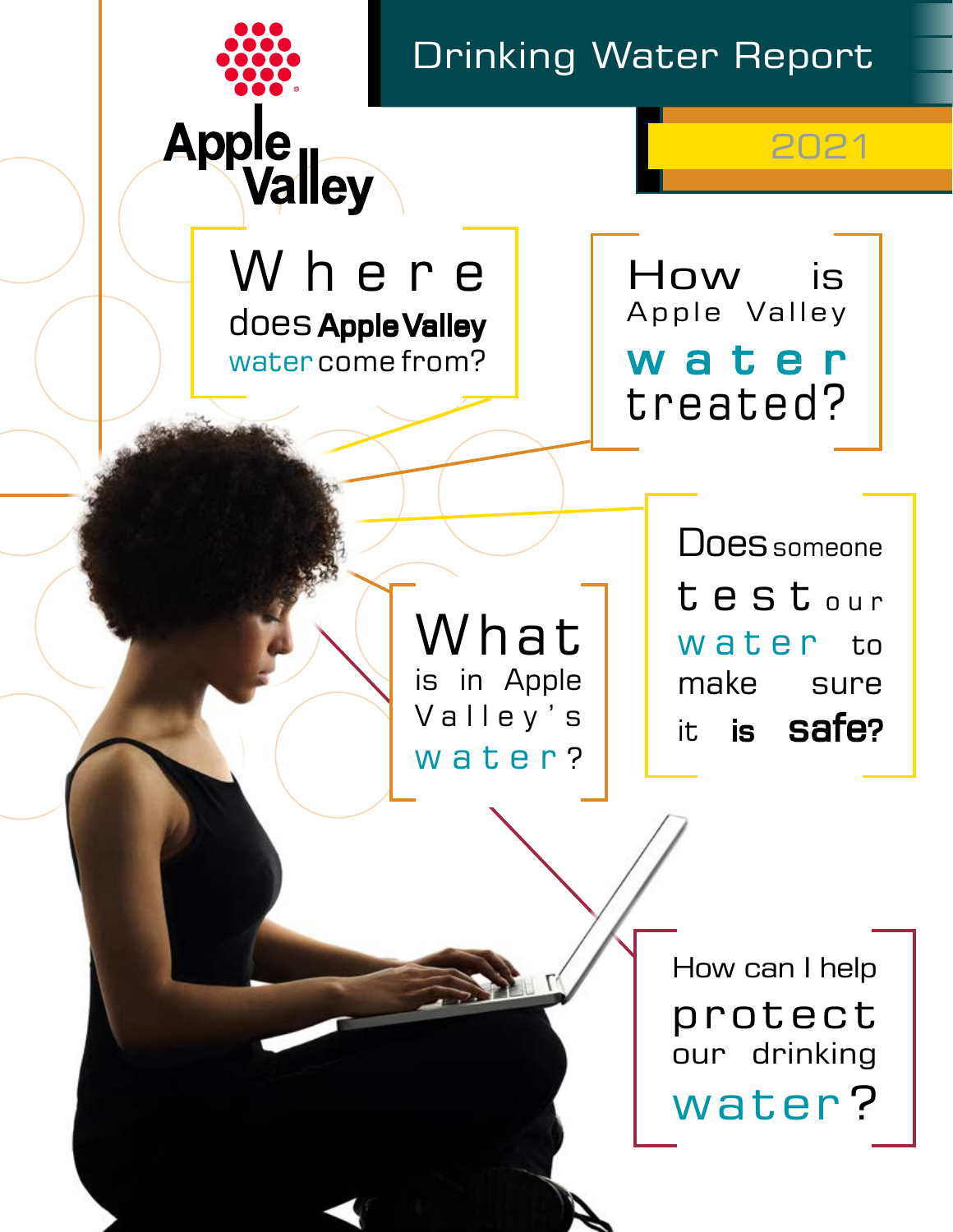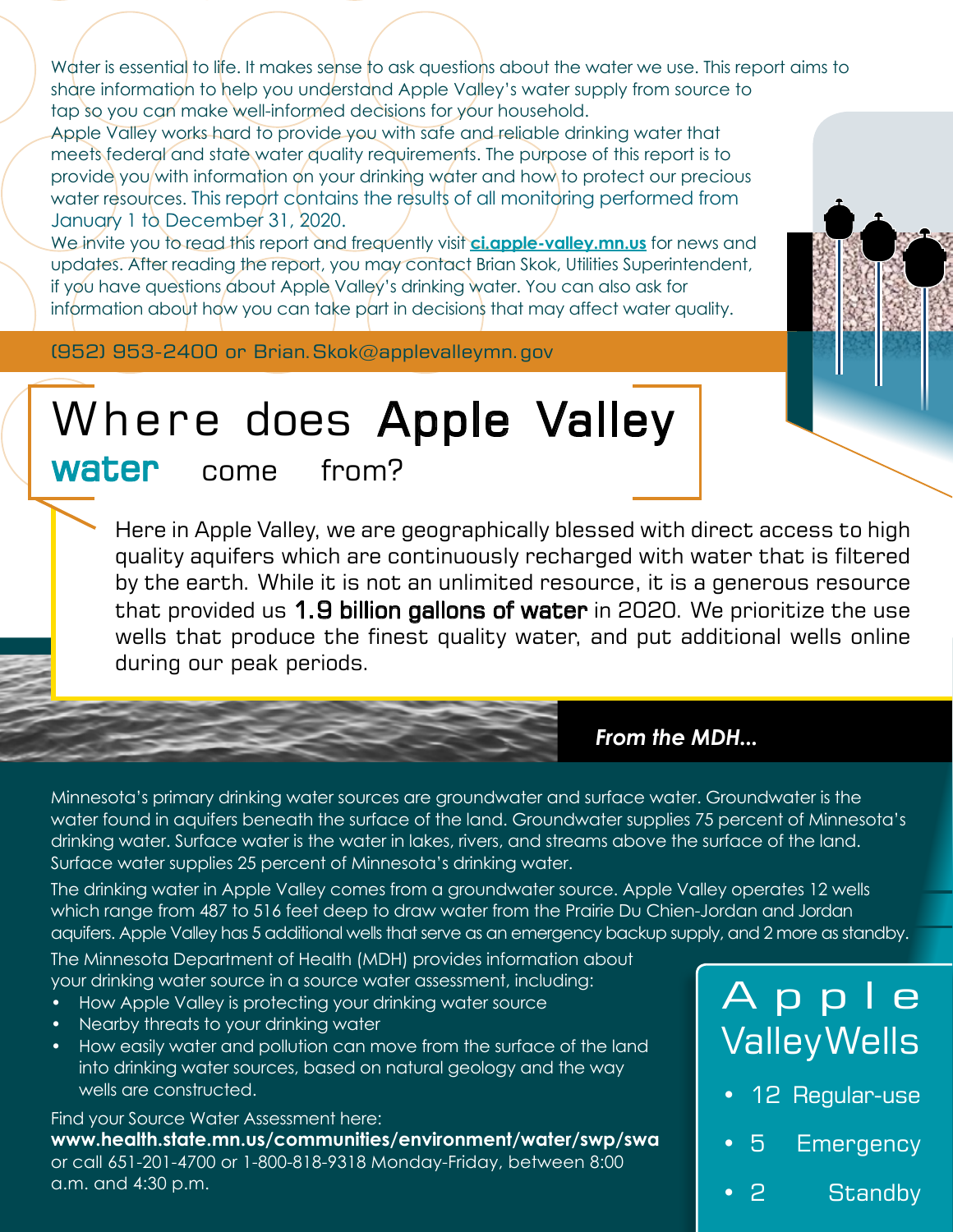Water is essential to life. It makes sense to ask questions about the water we use. This report aims to share information to help you understand Apple Valley's water supply from source to tap so you can make well-informed decisions for your household.

Apple Valley works hard to provide you with safe and reliable drinking water that meets federal and state water quality requirements. The purpose of this report is to provide you with information on your drinking water and how to protect our precious water resources. This report contains the results of all monitoring performed from January 1 to December 31, 2020.

We invite you to read this report and frequently visit **[ci.apple-valley.mn.us](https://www.ci.apple-valley.mn.us/)** for news and updates. After reading the report, you may contact Brian Skok, Utilities Superintendent, if you have questions about Apple Valley's drinking water. You can also ask for information about how you can take part in decisions that may affect water quality.

(952) 953-2400 or Brian.Skok@applevalleymn.gov

# Where does Apple Valley

water come from?

<span id="page-1-0"></span>Here in Apple Valley, we are geographically blessed with direct access to high quality aquifers which are continuously recharged with water that is filtered by the earth. While it is not an unlimited resource, it is a generous resource that provided us 1.9 billion gallons of water in 2020. We prioritize the use wells that produce the finest quality water, and put additional wells online during our peak periods.

*From the MDH...*

Minnesota's primary drinking water sources are groundwater and surface water. Groundwater is the water found in aquifers beneath the surface of the land. Groundwater supplies 75 percent of Minnesota's drinking water. Surface water is the water in lakes, rivers, and streams above the surface of the land. Surface water supplies 25 percent of Minnesota's drinking water.

The drinking water in Apple Valley comes from a groundwater source. Apple Valley operates 12 wells which range from 487 to 516 feet deep to draw water from the Prairie Du Chien-Jordan and Jordan aquifers. Apple Valley has 5 additional wells that serve as an emergency backup supply, and 2 more as standby.

The Minnesota Department of Health (MDH) provides information about your drinking water source in a source water assessment, including:

- How Apple Valley is protecting your drinking water source
- Nearby threats to your drinking water
- How easily water and pollution can move from the surface of the land into drinking water sources, based on natural geology and the way wells are constructed.

Find your Source Water Assessment here: **www.health.state.mn.us/communities/environment/water/swp/swa** or call 651-201-4700 or 1-800-818-9318 Monday-Friday, between 8:00 a.m. and 4:30 p.m.

# A p p l e Valley Wells

- 12 Regular-use
- 5 Emergency
- 2 Standby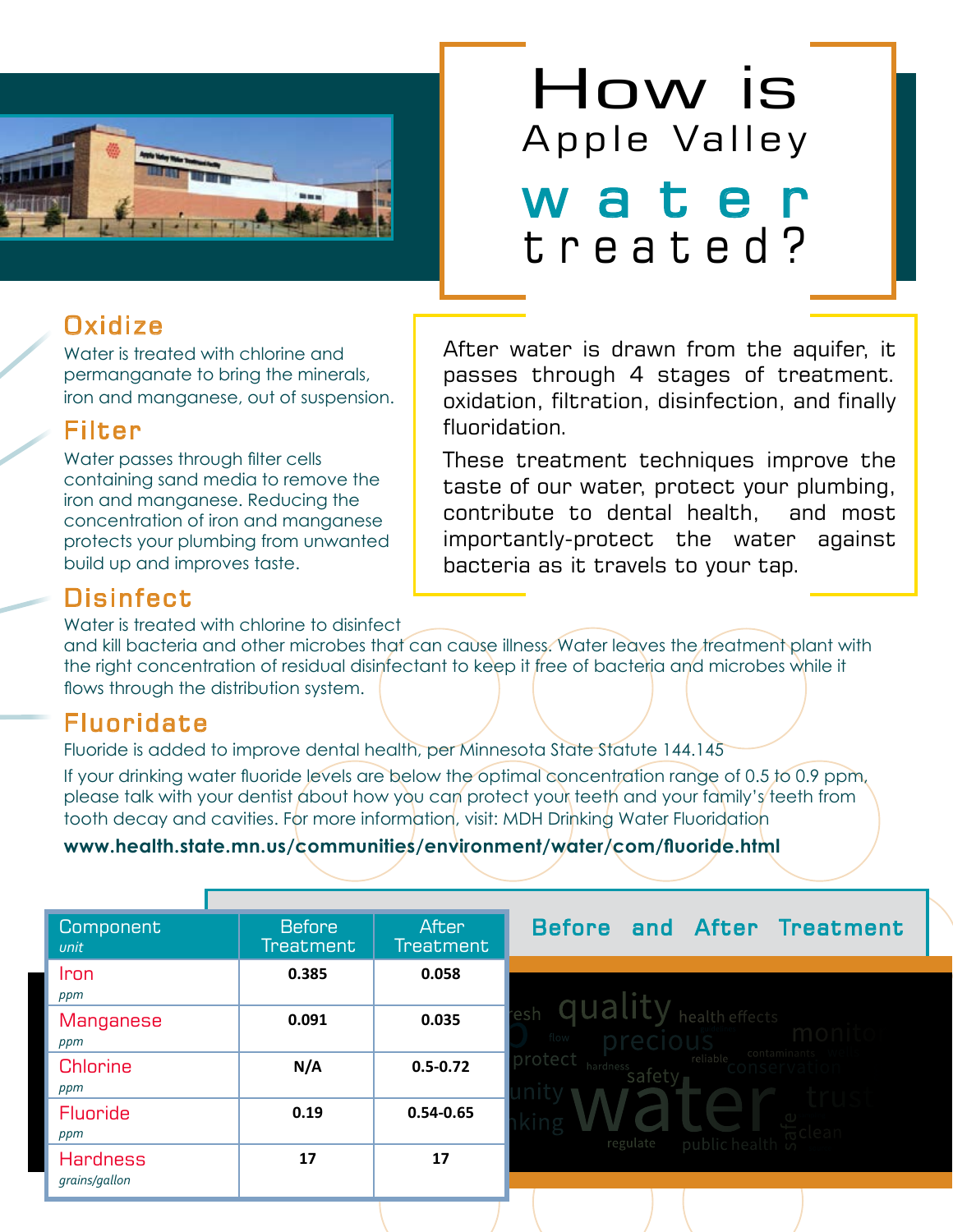

## **Oxidize**

Water is treated with chlorine and permanganate to bring the minerals, iron and manganese, out of suspension.

### Filter

Water passes through filter cells containing sand media to remove the iron and manganese. Reducing the concentration of iron and manganese protects your plumbing from unwanted build up and improves taste.

### Disinfect

Water is treated with chlorine to disinfect

# **How is**<br>Apple Valley w a t e treated?

<span id="page-2-0"></span>After water is drawn from the aquifer, it passes through 4 stages of treatment. oxidation, filtration, disinfection, and finally fluoridation.

These treatment techniques improve the taste of our water, protect your plumbing, contribute to dental health, and most importantly-protect the water against bacteria as it travels to your tap.

and kill bacteria and other microbes that can cause illness. Water leaves the treatment plant with the right concentration of residual disinfectant to keep it free of bacteria and microbes while it flows through the distribution system.

## Fluoridate

Fluoride is added to improve dental health, per Minnesota State Statute 144.145

If your drinking water fluoride levels are below the optimal concentration range of 0.5 to 0.9 ppm, please talk with your dentist about how you can protect your teeth and your family's teeth from tooth decay and cavities. For more information, visit: MDH Drinking Water Fluoridation

#### **www.health.state.mn.us/communities/environment/water/com/fluoride.html**

| Component<br>unit                | <b>Before</b><br><b>Treatment</b> | After<br><b>Treatment</b> | Before and After Treatment                                                     |  |  |  |  |  |
|----------------------------------|-----------------------------------|---------------------------|--------------------------------------------------------------------------------|--|--|--|--|--|
| Iron<br>ppm                      | 0.385                             | 0.058                     |                                                                                |  |  |  |  |  |
| <b>Manganese</b><br>ppm          | 0.091                             | 0.035                     | health effects<br>flow<br>contamina<br>rotect<br>reliable<br>hardness<br>satet |  |  |  |  |  |
| Chlorine<br>ppm                  | N/A                               | $0.5 - 0.72$              |                                                                                |  |  |  |  |  |
| <b>Fluoride</b><br>ppm           | 0.19                              | $0.54 - 0.65$             | regulate<br>public health is                                                   |  |  |  |  |  |
| <b>Hardness</b><br>grains/gallon | 17                                | 17                        |                                                                                |  |  |  |  |  |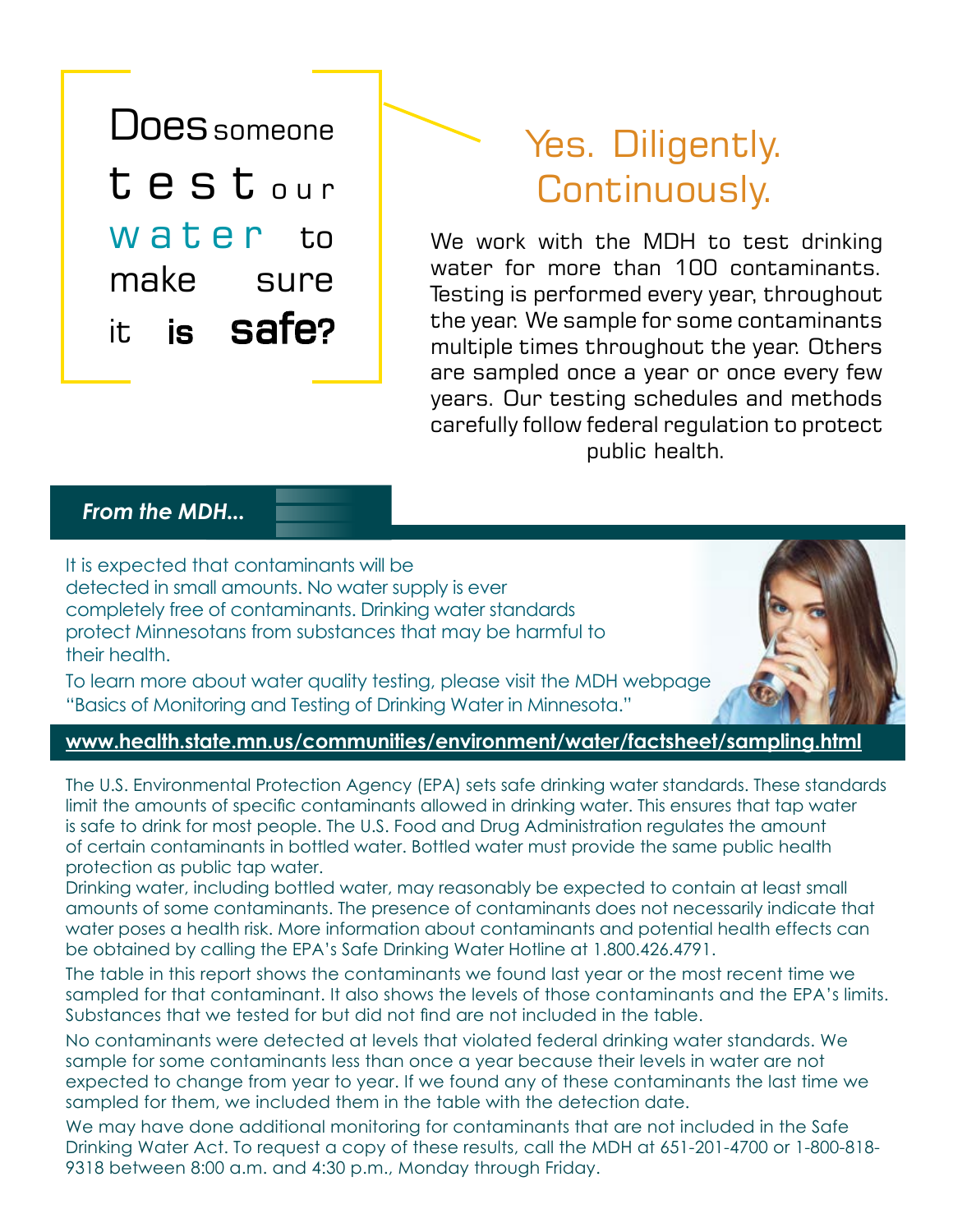

## <span id="page-3-0"></span>Yes. Diligently. Continuously.

We work with the MDH to test drinking water for more than 100 contaminants. Testing is performed every year, throughout the year. We sample for some contaminants multiple times throughout the year. Others are sampled once a year or once every few years. Our testing schedules and methods carefully follow federal regulation to protect public health.

#### *From the MDH...*

It is expected that contaminants will be detected in small amounts. No water supply is ever completely free of contaminants. Drinking water standards protect Minnesotans from substances that may be harmful to their health.

To learn more about water quality testing, please visit the MDH webpage "Basics of Monitoring and Testing of Drinking Water in Minnesota."

#### **www.health.state.mn.us/communities/environment/water/factsheet/sampling.html**

The U.S. Environmental Protection Agency (EPA) sets safe drinking water standards. These standards limit the amounts of specific contaminants allowed in drinking water. This ensures that tap water is safe to drink for most people. The U.S. Food and Drug Administration regulates the amount of certain contaminants in bottled water. Bottled water must provide the same public health protection as public tap water.

Drinking water, including bottled water, may reasonably be expected to contain at least small amounts of some contaminants. The presence of contaminants does not necessarily indicate that water poses a health risk. More information about contaminants and potential health effects can be obtained by calling the EPA's Safe Drinking Water Hotline at 1.800.426.4791.

The table in this report shows the contaminants we found last year or the most recent time we sampled for that contaminant. It also shows the levels of those contaminants and the EPA's limits. Substances that we tested for but did not find are not included in the table.

No contaminants were detected at levels that violated federal drinking water standards. We sample for some contaminants less than once a year because their levels in water are not expected to change from year to year. If we found any of these contaminants the last time we sampled for them, we included them in the table with the detection date.

We may have done additional monitoring for contaminants that are not included in the Safe Drinking Water Act. To request a copy of these results, call the MDH at 651-201-4700 or 1-800-818- 9318 between 8:00 a.m. and 4:30 p.m., Monday through Friday.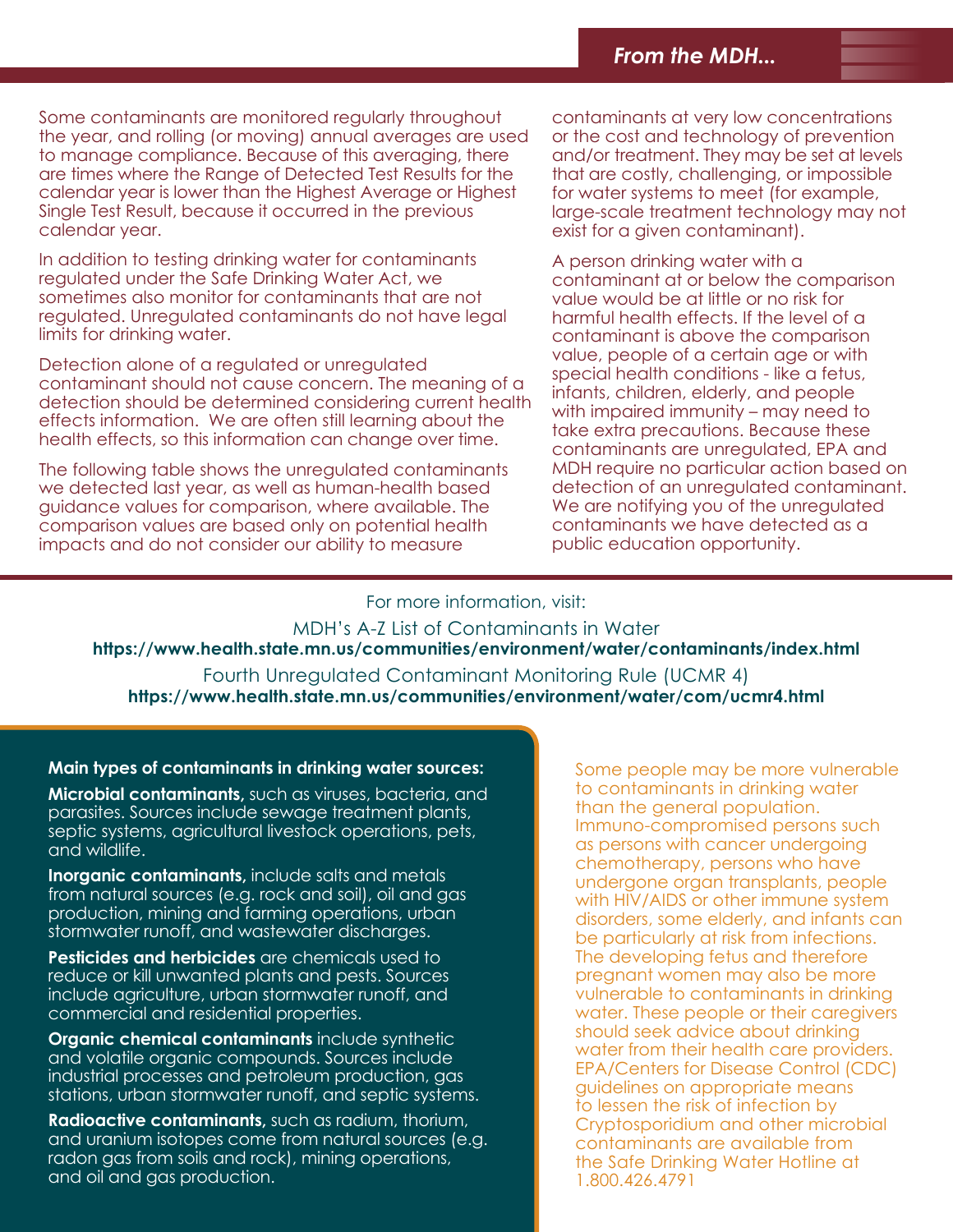Some contaminants are monitored regularly throughout the year, and rolling (or moving) annual averages are used to manage compliance. Because of this averaging, there are times where the Range of Detected Test Results for the calendar year is lower than the Highest Average or Highest Single Test Result, because it occurred in the previous calendar year.

In addition to testing drinking water for contaminants regulated under the Safe Drinking Water Act, we sometimes also monitor for contaminants that are not regulated. Unregulated contaminants do not have legal limits for drinking water.

Detection alone of a regulated or unregulated contaminant should not cause concern. The meaning of a detection should be determined considering current health effects information. We are often still learning about the health effects, so this information can change over time.

The following table shows the unregulated contaminants we detected last year, as well as human-health based guidance values for comparison, where available. The comparison values are based only on potential health impacts and do not consider our ability to measure

contaminants at very low concentrations or the cost and technology of prevention and/or treatment. They may be set at levels that are costly, challenging, or impossible for water systems to meet (for example, large-scale treatment technology may not exist for a given contaminant).

A person drinking water with a contaminant at or below the comparison value would be at little or no risk for harmful health effects. If the level of a contaminant is above the comparison value, people of a certain age or with special health conditions - like a fetus, infants, children, elderly, and people with impaired immunity – may need to take extra precautions. Because these contaminants are unregulated, EPA and MDH require no particular action based on detection of an unregulated contaminant. We are notifying you of the unregulated contaminants we have detected as a public education opportunity.

For more information, visit:

MDH's A-Z List of Contaminants in Water **https://www.health.state.mn.us/communities/environment/water/contaminants/index.html**

Fourth Unregulated Contaminant Monitoring Rule (UCMR 4) **https://www.health.state.mn.us/communities/environment/water/com/ucmr4.html**

#### **Main types of contaminants in drinking water sources:**

**Microbial contaminants,** such as viruses, bacteria, and parasites. Sources include sewage treatment plants, septic systems, agricultural livestock operations, pets, and wildlife.

**Inorganic contaminants,** include salts and metals from natural sources (e.g. rock and soil), oil and gas production, mining and farming operations, urban stormwater runoff, and wastewater discharges.

**Pesticides and herbicides** are chemicals used to reduce or kill unwanted plants and pests. Sources include agriculture, urban stormwater runoff, and commercial and residential properties.

**Organic chemical contaminants** include synthetic and volatile organic compounds. Sources include industrial processes and petroleum production, gas stations, urban stormwater runoff, and septic systems.

**Radioactive contaminants,** such as radium, thorium, and uranium isotopes come from natural sources (e.g. radon gas from soils and rock), mining operations, and oil and gas production.

Some people may be more vulnerable to contaminants in drinking water than the general population. Immuno-compromised persons such as persons with cancer undergoing chemotherapy, persons who have undergone organ transplants, people with HIV/AIDS or other immune system disorders, some elderly, and infants can be particularly at risk from infections. The developing fetus and therefore pregnant women may also be more vulnerable to contaminants in drinking water. These people or their caregivers should seek advice about drinking water from their health care providers. EPA/Centers for Disease Control (CDC) guidelines on appropriate means to lessen the risk of infection by Cryptosporidium and other microbial contaminants are available from the Safe Drinking Water Hotline at 1.800.426.4791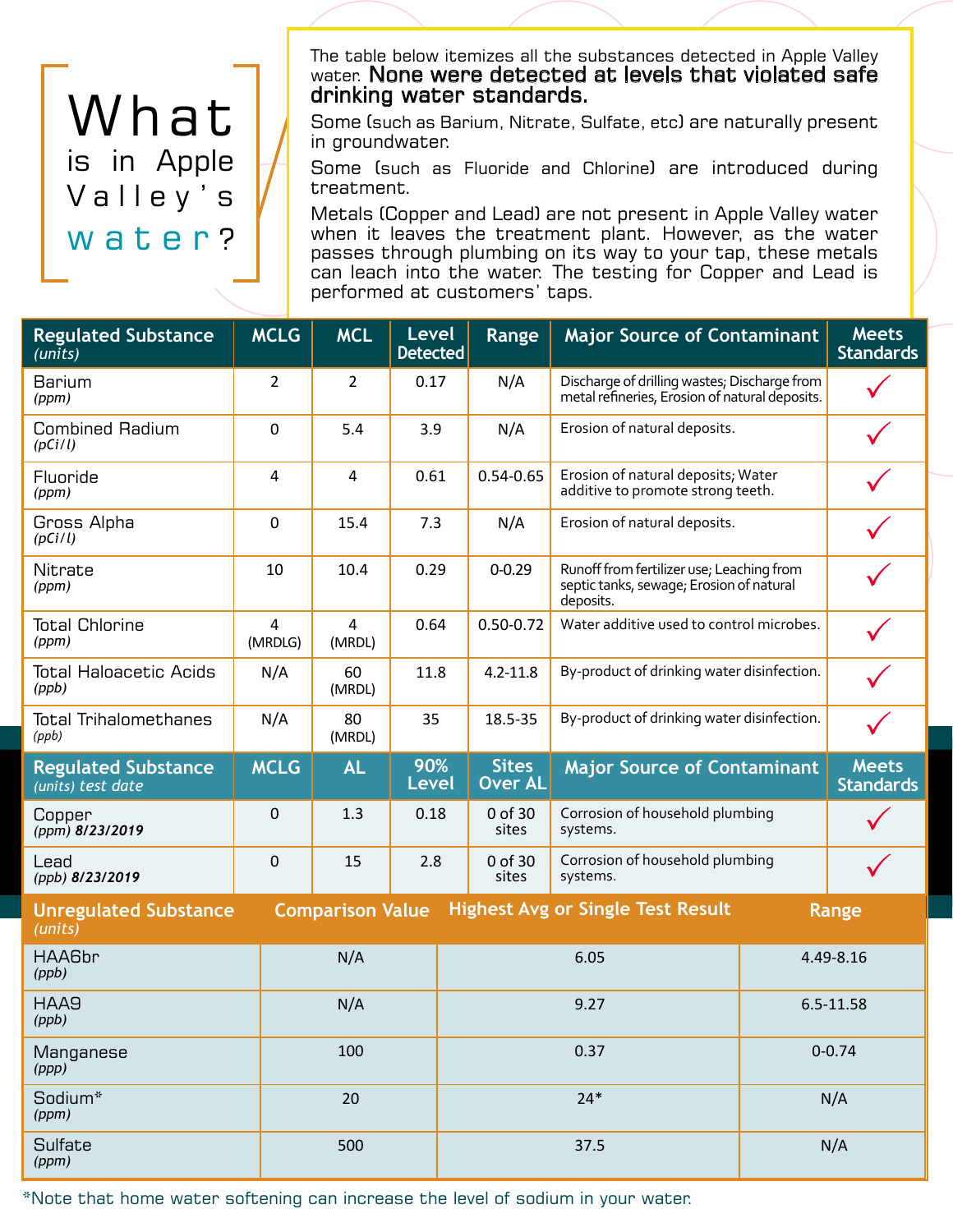# [What](#page-5-1) [is in Apple](#page-5-1)  Valley's [water](#page-5-1)?

<span id="page-5-0"></span>The table below itemizes all the substances detected in Apple Valley water. None were detected at levels that violated safe drinking water standards.

Some (such as Barium, Nitrate, Sulfate, etc) are naturally present in groundwater.

Some (such as Fluoride and Chlorine) are introduced during treatment.

Metals (Copper and Lead) are not present in Apple Valley water when it leaves the treatment plant. However, as the water passes through plumbing on its way to your tap, these metals can leach into the water. The testing for Copper and Lead is performed at customers' taps.

<span id="page-5-1"></span>

| <b>Regulated Substance</b><br>(units)           | <b>MCLG</b>               | <b>MCL</b>               | <b>Level</b><br><b>Detected</b> | Range                                                                                    | <b>Major Source of Contaminant</b>                                                                 |            | <b>Meets</b><br><b>Standards</b> |
|-------------------------------------------------|---------------------------|--------------------------|---------------------------------|------------------------------------------------------------------------------------------|----------------------------------------------------------------------------------------------------|------------|----------------------------------|
| <b>Barium</b><br>(ppm)                          | $\overline{2}$            | $\overline{2}$           | 0.17                            | N/A                                                                                      | Discharge of drilling wastes; Discharge from<br>metal refineries, Erosion of natural deposits.     |            |                                  |
| <b>Combined Radium</b><br>(pCi/l)               | 0                         | 5.4                      | 3.9                             | N/A                                                                                      | Erosion of natural deposits.                                                                       |            |                                  |
| Fluoride<br>(ppm)                               | 4                         | 4                        | 0.61                            | Erosion of natural deposits; Water<br>$0.54 - 0.65$<br>additive to promote strong teeth. |                                                                                                    |            |                                  |
| Gross Alpha<br>(pCi/l)                          | 0                         | 15.4                     | 7.3                             | N/A                                                                                      | Erosion of natural deposits.                                                                       |            |                                  |
| Nitrate<br>(ppm)                                | 10                        | 10.4                     | 0.29                            | $0 - 0.29$                                                                               | Runoff from fertilizer use; Leaching from<br>septic tanks, sewage, Erosion of natural<br>deposits. |            |                                  |
| <b>Total Chlorine</b><br>(ppm)                  | $\overline{4}$<br>(MRDLG) | $\overline{4}$<br>(MRDL) | 0.64                            | $0.50 - 0.72$                                                                            | Water additive used to control microbes.                                                           |            |                                  |
| <b>Total Haloacetic Acids</b><br>(ppb)          | N/A                       | 60<br>(MRDL)             | 11.8                            | $4.2 - 11.8$                                                                             | By-product of drinking water disinfection.                                                         |            |                                  |
| <b>Total Trihalomethanes</b><br>(ppb)           | N/A                       | 80<br>(MRDL)             | 35                              | 18.5-35                                                                                  | By-product of drinking water disinfection.                                                         |            |                                  |
| <b>Regulated Substance</b><br>(units) test date | <b>MCLG</b>               | <b>AL</b>                | 90%<br><b>Level</b>             | <b>Sites</b><br><b>Over AL</b>                                                           | <b>Major Source of Contaminant</b>                                                                 |            | <b>Meets</b><br><b>Standards</b> |
| Copper<br>(ppm) 8/23/2019                       | 0                         | 1.3                      | 0.18                            | 0 of 30<br>sites                                                                         | Corrosion of household plumbing<br>systems.                                                        |            |                                  |
| Lead<br>(ppb) 8/23/2019                         | 0                         | 15                       | 2.8                             | 0 of 30<br>sites                                                                         | Corrosion of household plumbing<br>systems.                                                        |            |                                  |
| <b>Unregulated Substance</b><br>(mits)          |                           | <b>Comparison Value</b>  |                                 |                                                                                          | <b>Highest Avg or Single Test Result</b>                                                           |            | Range                            |
| HAA6br<br>(ppb)                                 |                           | N/A                      |                                 | 6.05                                                                                     |                                                                                                    | 4.49-8.16  |                                  |
| HAA9<br>(ppb)                                   |                           | N/A                      |                                 | 9.27                                                                                     |                                                                                                    | 6.5-11.58  |                                  |
| Manganese<br>(ppp)                              |                           | 100                      |                                 | 0.37                                                                                     |                                                                                                    | $0 - 0.74$ |                                  |
| Sodium*<br>(ppm)                                |                           | 20                       |                                 | $24*$                                                                                    |                                                                                                    | N/A        |                                  |
| Sulfate<br>(ppm)                                |                           | 500                      |                                 | 37.5                                                                                     |                                                                                                    | N/A        |                                  |

\*Note that home water softening can increase the level of sodium in your water.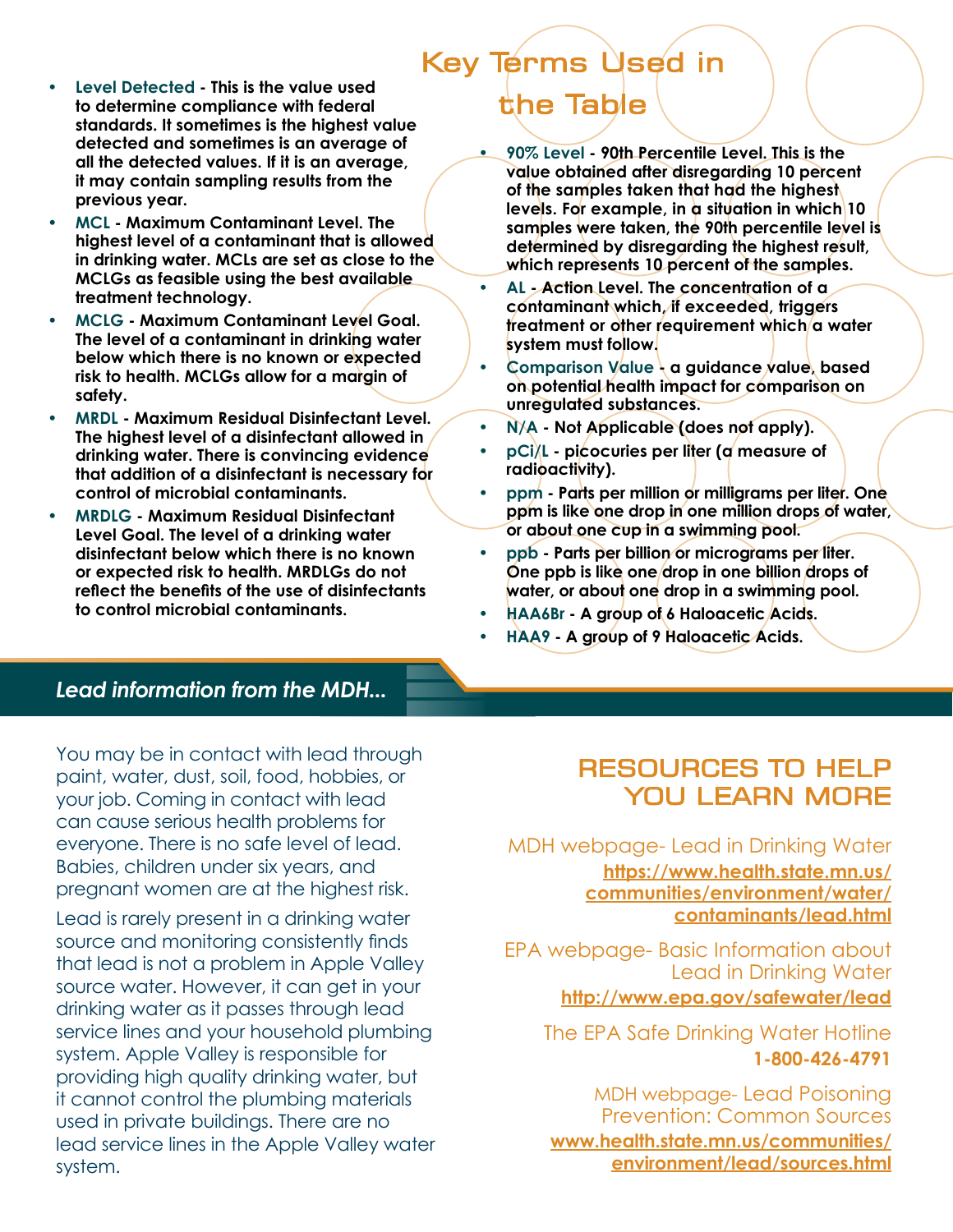- Level Detected This is the value used **by the Table is the value used** to determine compliance with federal **the Table standards. It sometimes is the highest value detected and sometimes is an average of all the detected values. If it is an average, it may contain sampling results from the previous year.**
- **• MCL Maximum Contaminant Level. The highest level of a contaminant that is allowed in drinking water. MCLs are set as close to the MCLGs as feasible using the best available treatment technology.**
- **• MCLG Maximum Contaminant Level Goal. The level of a contaminant in drinking water below which there is no known or expected risk to health. MCLGs allow for a margin of safety.**
- **• MRDL Maximum Residual Disinfectant Level. The highest level of a disinfectant allowed in drinking water. There is convincing evidence that addition of a disinfectant is necessary for control of microbial contaminants.**
- **• MRDLG Maximum Residual Disinfectant Level Goal. The level of a drinking water disinfectant below which there is no known or expected risk to health. MRDLGs do not reflect the benefits of the use of disinfectants to control microbial contaminants.**

# Key Terms Used in

- **• 90% Level 90th Percentile Level. This is the value obtained after disregarding 10 percent of the samples taken that had the highest levels. For example, in a situation in which 10 samples were taken, the 90th percentile level is determined by disregarding the highest result, which represents 10 percent of the samples.**
- **• AL Action Level. The concentration of a contaminant which, if exceeded, triggers treatment or other requirement which** a water **system must follow.**
- **• Comparison Value a guidance value, based on potential health impact for comparison on unregulated substances.**
- **• N/A Not Applicable (does not apply).**
- **• pCi/L picocuries per liter (a measure of radioactivity).**
- **• ppm Parts per million or milligrams per liter. One ppm is like one drop in one million drops of water, or about one cup in a swimming pool.**
- **• ppb Parts per billion or micrograms per liter. One ppb is like one drop in one billion drops of water, or about one drop in a swimming pool.**
- **• HAA6Br A group of 6 Haloacetic Acids.**
- **• HAA9 A group of 9 Haloacetic Acids.**

#### *Lead information from the MDH...*

You may be in contact with lead through paint, water, dust, soil, food, hobbies, or your job. Coming in contact with lead can cause serious health problems for everyone. There is no safe level of lead. Babies, children under six years, and pregnant women are at the highest risk.

Lead is rarely present in a drinking water source and monitoring consistently finds that lead is not a problem in Apple Valley source water. However, it can get in your drinking water as it passes through lead service lines and your household plumbing system. Apple Valley is responsible for providing high quality drinking water, but it cannot control the plumbing materials used in private buildings. There are no lead service lines in the Apple Valley water system.

### RESOURCES TO HELP YOU LEARN MORE

#### MDH webpage- Lead in Drinking Water **[https://www.health.state.mn.us/](https://www.health.state.mn.us/communities/environment/water/contaminants/lead.html%0D) [communities/environment/water/](https://www.health.state.mn.us/communities/environment/water/contaminants/lead.html%0D) [contaminants/lead.html](https://www.health.state.mn.us/communities/environment/water/contaminants/lead.html%0D)**

EPA webpage- Basic Information about Lead in Drinking Water

#### **http://www.epa.gov/safewater/lead**

The EPA Safe Drinking Water Hotline  **1-800-426-4791** 

MDH webpage- Lead Poisoning Prevention: Common Sources **[www.health.state.mn.us/communities/](www.health.state.mn.us/communities/environment/lead/sources.html) [environment/lead/sources.html](www.health.state.mn.us/communities/environment/lead/sources.html)**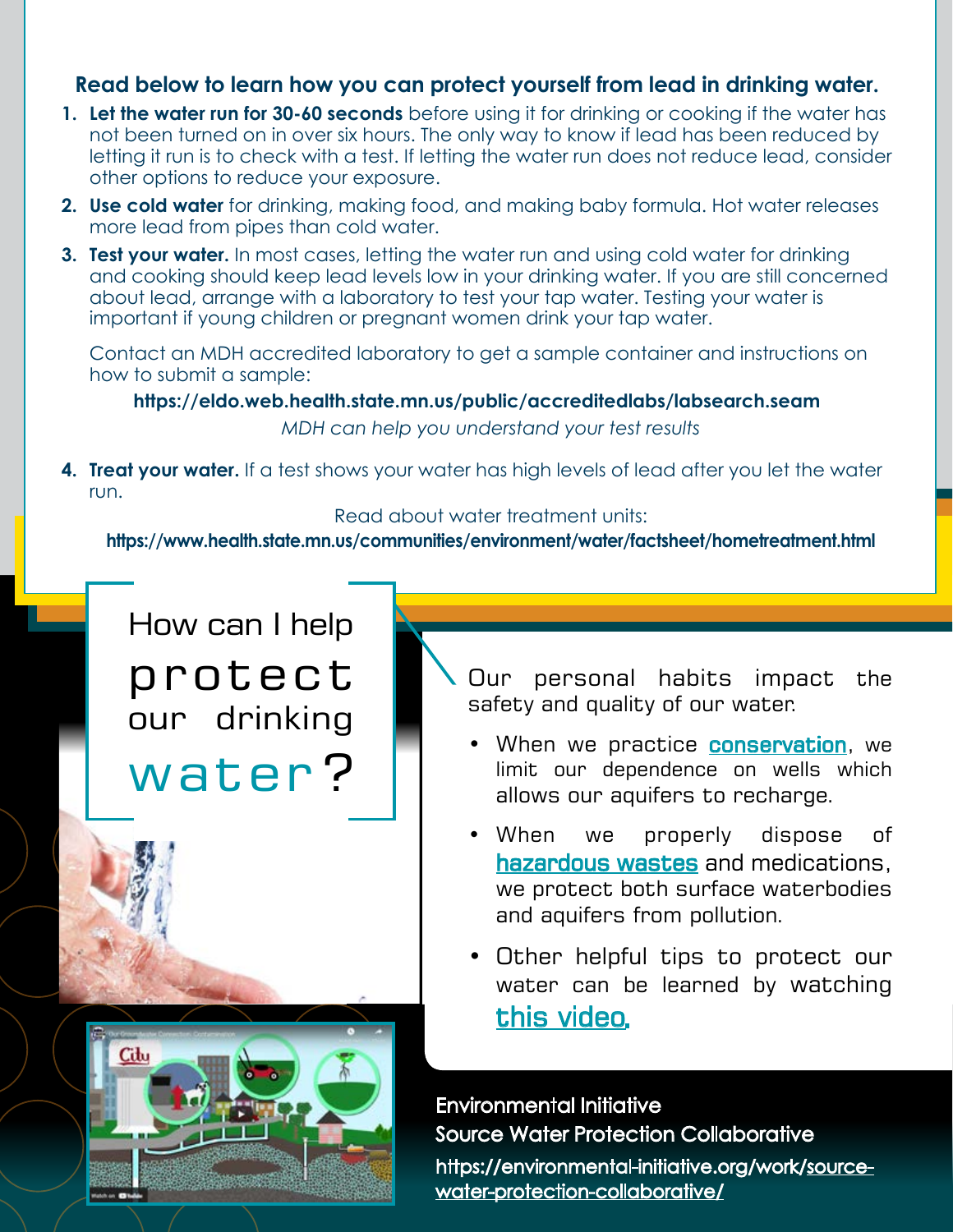#### **Read below to learn how you can protect yourself from lead in drinking water.**

- **1. Let the water run for 30-60 seconds** before using it for drinking or cooking if the water has not been turned on in over six hours. The only way to know if lead has been reduced by letting it run is to check with a test. If letting the water run does not reduce lead, consider other options to reduce your exposure.
- **2. Use cold water** for drinking, making food, and making baby formula. Hot water releases more lead from pipes than cold water.
- **3. Test your water.** In most cases, letting the water run and using cold water for drinking and cooking should keep lead levels low in your drinking water. If you are still concerned about lead, arrange with a laboratory to test your tap water. Testing your water is important if young children or pregnant women drink your tap water.

Contact an MDH accredited laboratory to get a sample container and instructions on how to submit a sample:

**https://eldo.web.health.state.mn.us/public/accreditedlabs/labsearch.seam**

*MDH can help you understand your test results*

**4. Treat your water.** If a test shows your water has high levels of lead after you let the water run.

Read about water treatment units:

**https://www.health.state.mn.us/communities/environment/water/factsheet/hometreatment.html**

How can I help protect our drinking water ?

Citu

<span id="page-7-0"></span>Our personal habits impact the safety and quality of our water.

- When we practice **[conservation](https://www.epa.gov/greeningepa/water-conservation-epa)**, we limit our dependence on wells which allows our aquifers to recharge.
- • When we properly dispose of [hazardous wastes](https://www.epa.gov/hw/household-hazardous-waste-hhw) and medications, we protect both surface waterbodies and aquifers from pollution.
- Other helpful tips to protect our water can be learned by watching [this video.](https://youtu.be/gRSHJpe8pq8)

Environmental Initiative Source Water Protection Collaborative [https://environmental-initiative.org/work/source](https://environmental-initiative.org/work/source-water-protection-collaborative/)[water-protection-collaborative/](https://environmental-initiative.org/work/source-water-protection-collaborative/)